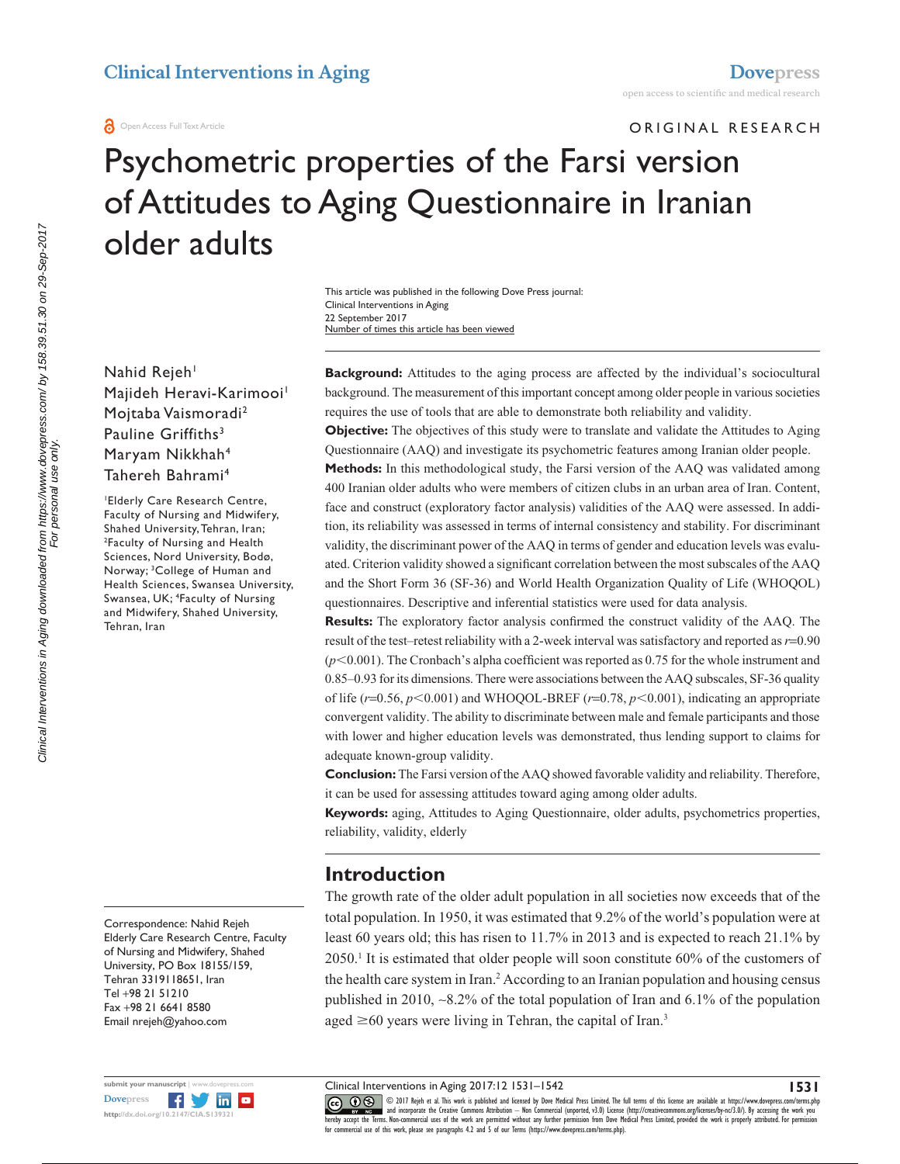## **Clinical Interventions in Aging <b>[Dovepress](www.dovepress.com)**

Open Access Full Text Article

ORIGINAL RESEARCH

# Psychometric properties of the Farsi version of Attitudes to Aging Questionnaire in Iranian older adults

Number of times this article has been viewed This article was published in the following Dove Press journal: Clinical Interventions in Aging 22 September 2017

Nahid Rejeh<sup>1</sup> Majideh Heravi-Karimooi<sup>1</sup> Mojtaba Vaismoradi2 Pauline Griffiths<sup>3</sup> Maryam Nikkhah<sup>4</sup> Tahereh Bahrami4

1 Elderly Care Research Centre, Faculty of Nursing and Midwifery, Shahed University, Tehran, Iran; 2 Faculty of Nursing and Health Sciences, Nord University, Bodø, Norway; 3 College of Human and Health Sciences, Swansea University, Swansea, UK; 4 Faculty of Nursing and Midwifery, Shahed University, Tehran, Iran

Correspondence: Nahid Rejeh Elderly Care Research Centre, Faculty of Nursing and Midwifery, Shahed University, PO Box 18155/159, Tehran 3319118651, Iran Tel +98 21 51210 Fax +98 21 6641 8580 Email [nrejeh@yahoo.com](mailto:nrejeh@yahoo.com)



**Background:** Attitudes to the aging process are affected by the individual's sociocultural background. The measurement of this important concept among older people in various societies requires the use of tools that are able to demonstrate both reliability and validity.

**Objective:** The objectives of this study were to translate and validate the Attitudes to Aging Questionnaire (AAQ) and investigate its psychometric features among Iranian older people.

**Methods:** In this methodological study, the Farsi version of the AAQ was validated among 400 Iranian older adults who were members of citizen clubs in an urban area of Iran. Content, face and construct (exploratory factor analysis) validities of the AAQ were assessed. In addition, its reliability was assessed in terms of internal consistency and stability. For discriminant validity, the discriminant power of the AAQ in terms of gender and education levels was evaluated. Criterion validity showed a significant correlation between the most subscales of the AAQ and the Short Form 36 (SF-36) and World Health Organization Quality of Life (WHOQOL) questionnaires. Descriptive and inferential statistics were used for data analysis.

**Results:** The exploratory factor analysis confirmed the construct validity of the AAQ. The result of the test–retest reliability with a 2-week interval was satisfactory and reported as *r*=0.90  $(p<0.001)$ . The Cronbach's alpha coefficient was reported as 0.75 for the whole instrument and 0.85–0.93 for its dimensions. There were associations between the AAQ subscales, SF-36 quality of life  $(r=0.56, p<0.001)$  and WHOOOL-BREF  $(r=0.78, p<0.001)$ , indicating an appropriate convergent validity. The ability to discriminate between male and female participants and those with lower and higher education levels was demonstrated, thus lending support to claims for adequate known-group validity.

**Conclusion:** The Farsi version of the AAQ showed favorable validity and reliability. Therefore, it can be used for assessing attitudes toward aging among older adults.

**Keywords:** aging, Attitudes to Aging Questionnaire, older adults, psychometrics properties, reliability, validity, elderly

## **Introduction**

The growth rate of the older adult population in all societies now exceeds that of the total population. In 1950, it was estimated that 9.2% of the world's population were at least 60 years old; this has risen to 11.7% in 2013 and is expected to reach 21.1% by 2050.<sup>1</sup> It is estimated that older people will soon constitute 60% of the customers of the health care system in Iran.<sup>2</sup> According to an Iranian population and housing census published in 2010, ~8.2% of the total population of Iran and 6.1% of the population aged  $\geq 60$  years were living in Tehran, the capital of Iran.<sup>3</sup>

Clinical Interventions in Aging 2017:12 1531–1542

CC 0 9 2017 Rejeh et al. This work is published and licensed by Dove Medical Press Limited. The full terms of this license are available at <https://www.dovepress.com/terms.php><br>[hereby accept the Terms](http://www.dovepress.com/permissions.php). Non-commercial uses o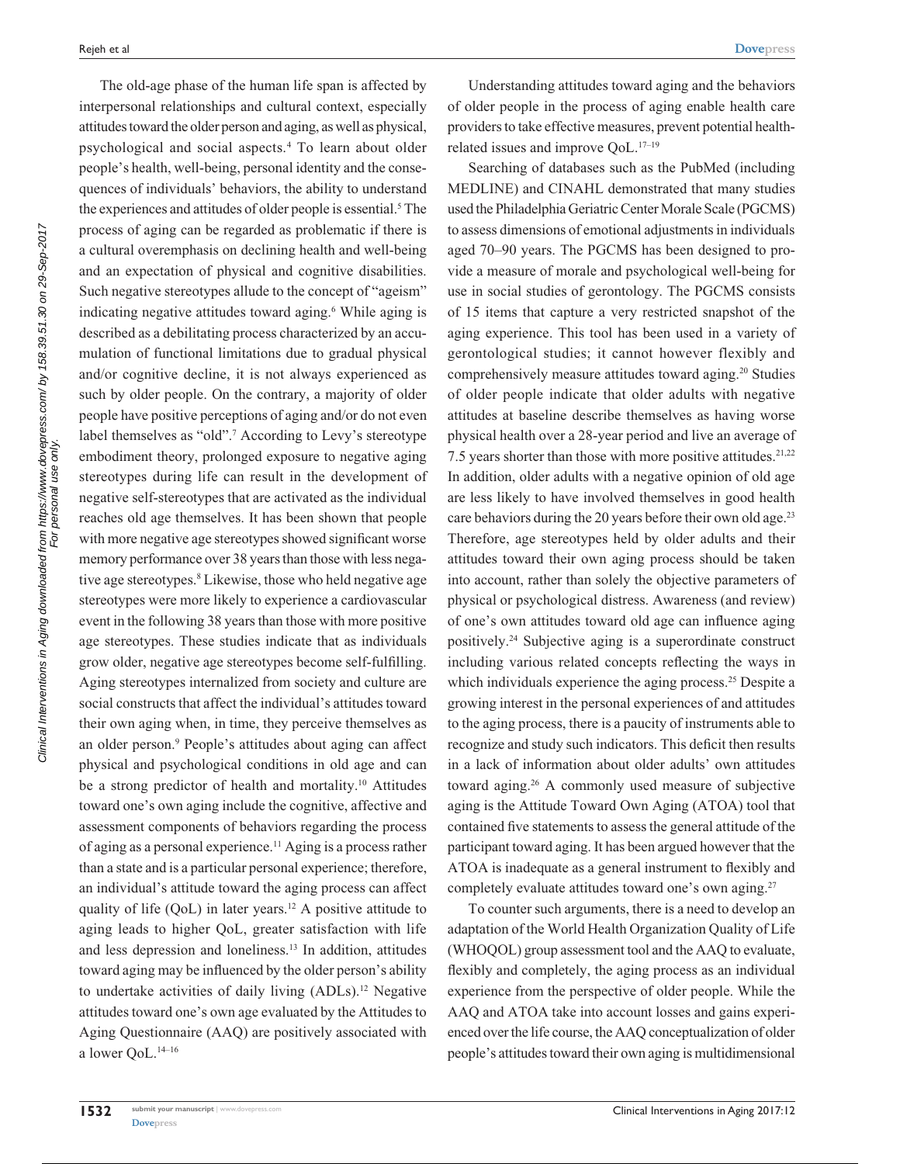Clinical Interventions in Aging downloaded from https://www.dovepress.com/ by 158.39.51.30 on 29-Sep-2017<br>Clinical Interventions in Aging downloaded fror personal use only. Clinical Interventions in Aging downloaded from https://www.dovepress.com/ by 158.39.51.30 on 29-Sep-2017 For personal use only.

The old-age phase of the human life span is affected by interpersonal relationships and cultural context, especially attitudes toward the older person and aging, as well as physical, psychological and social aspects.4 To learn about older people's health, well-being, personal identity and the consequences of individuals' behaviors, the ability to understand the experiences and attitudes of older people is essential.<sup>5</sup> The process of aging can be regarded as problematic if there is a cultural overemphasis on declining health and well-being and an expectation of physical and cognitive disabilities. Such negative stereotypes allude to the concept of "ageism" indicating negative attitudes toward aging.<sup>6</sup> While aging is described as a debilitating process characterized by an accumulation of functional limitations due to gradual physical and/or cognitive decline, it is not always experienced as such by older people. On the contrary, a majority of older people have positive perceptions of aging and/or do not even label themselves as "old".<sup>7</sup> According to Levy's stereotype embodiment theory, prolonged exposure to negative aging stereotypes during life can result in the development of negative self-stereotypes that are activated as the individual reaches old age themselves. It has been shown that people with more negative age stereotypes showed significant worse memory performance over 38 years than those with less negative age stereotypes.<sup>8</sup> Likewise, those who held negative age stereotypes were more likely to experience a cardiovascular event in the following 38 years than those with more positive age stereotypes. These studies indicate that as individuals grow older, negative age stereotypes become self-fulfilling. Aging stereotypes internalized from society and culture are social constructs that affect the individual's attitudes toward their own aging when, in time, they perceive themselves as an older person.<sup>9</sup> People's attitudes about aging can affect physical and psychological conditions in old age and can be a strong predictor of health and mortality.10 Attitudes toward one's own aging include the cognitive, affective and assessment components of behaviors regarding the process of aging as a personal experience.11 Aging is a process rather than a state and is a particular personal experience; therefore, an individual's attitude toward the aging process can affect quality of life (QoL) in later years.<sup>12</sup> A positive attitude to aging leads to higher QoL, greater satisfaction with life and less depression and loneliness.13 In addition, attitudes toward aging may be influenced by the older person's ability to undertake activities of daily living (ADLs).12 Negative attitudes toward one's own age evaluated by the Attitudes to Aging Questionnaire (AAQ) are positively associated with a lower QoL.14–16

Understanding attitudes toward aging and the behaviors of older people in the process of aging enable health care providers to take effective measures, prevent potential healthrelated issues and improve QoL.17–19

Searching of databases such as the PubMed (including MEDLINE) and CINAHL demonstrated that many studies used the Philadelphia Geriatric Center Morale Scale (PGCMS) to assess dimensions of emotional adjustments in individuals aged 70–90 years. The PGCMS has been designed to provide a measure of morale and psychological well-being for use in social studies of gerontology. The PGCMS consists of 15 items that capture a very restricted snapshot of the aging experience. This tool has been used in a variety of gerontological studies; it cannot however flexibly and comprehensively measure attitudes toward aging.20 Studies of older people indicate that older adults with negative attitudes at baseline describe themselves as having worse physical health over a 28-year period and live an average of 7.5 years shorter than those with more positive attitudes.<sup>21,22</sup> In addition, older adults with a negative opinion of old age are less likely to have involved themselves in good health care behaviors during the 20 years before their own old age.<sup>23</sup> Therefore, age stereotypes held by older adults and their attitudes toward their own aging process should be taken into account, rather than solely the objective parameters of physical or psychological distress. Awareness (and review) of one's own attitudes toward old age can influence aging positively.24 Subjective aging is a superordinate construct including various related concepts reflecting the ways in which individuals experience the aging process.<sup>25</sup> Despite a growing interest in the personal experiences of and attitudes to the aging process, there is a paucity of instruments able to recognize and study such indicators. This deficit then results in a lack of information about older adults' own attitudes toward aging.26 A commonly used measure of subjective aging is the Attitude Toward Own Aging (ATOA) tool that contained five statements to assess the general attitude of the participant toward aging. It has been argued however that the ATOA is inadequate as a general instrument to flexibly and completely evaluate attitudes toward one's own aging.<sup>27</sup>

To counter such arguments, there is a need to develop an adaptation of the World Health Organization Quality of Life (WHOQOL) group assessment tool and the AAQ to evaluate, flexibly and completely, the aging process as an individual experience from the perspective of older people. While the AAQ and ATOA take into account losses and gains experienced over the life course, the AAQ conceptualization of older people's attitudes toward their own aging is multidimensional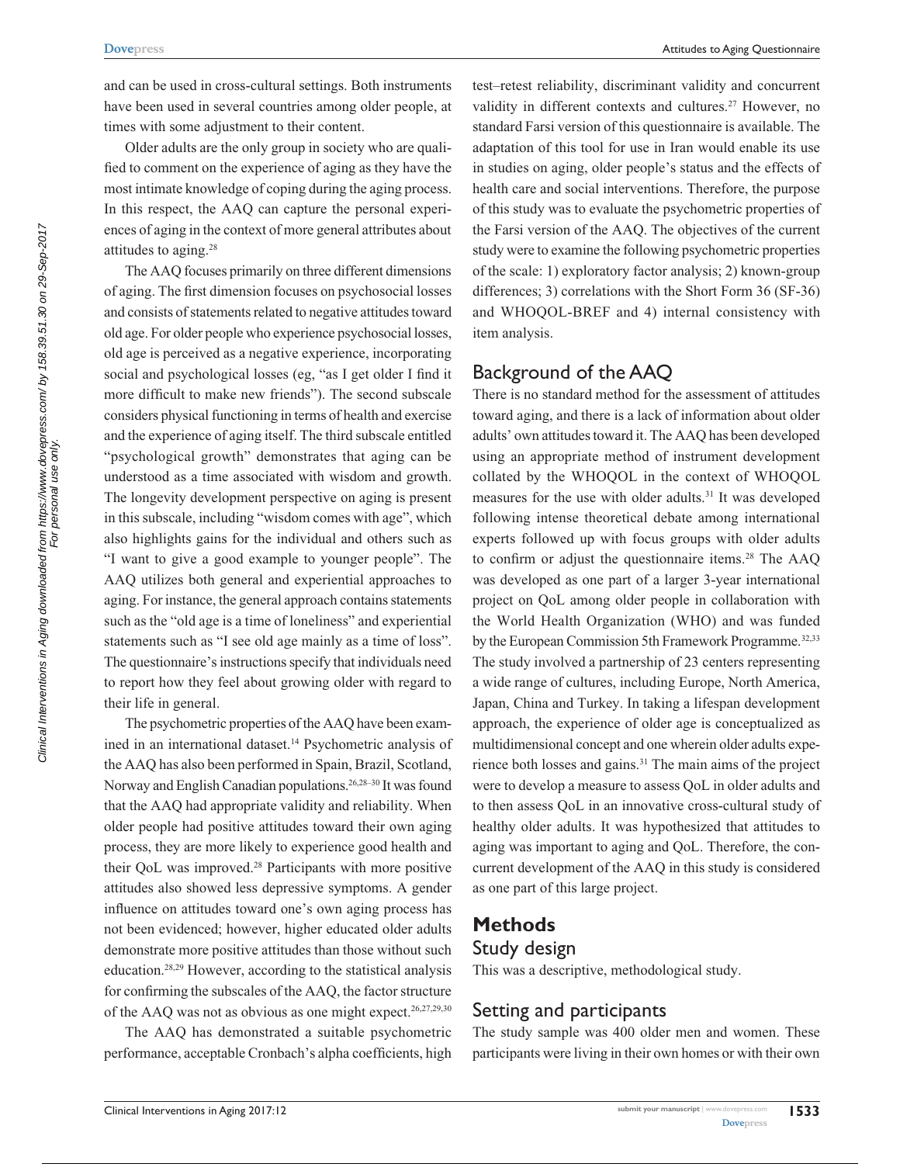and can be used in cross-cultural settings. Both instruments have been used in several countries among older people, at times with some adjustment to their content.

Older adults are the only group in society who are qualified to comment on the experience of aging as they have the most intimate knowledge of coping during the aging process. In this respect, the AAQ can capture the personal experiences of aging in the context of more general attributes about attitudes to aging.28

The AAQ focuses primarily on three different dimensions of aging. The first dimension focuses on psychosocial losses and consists of statements related to negative attitudes toward old age. For older people who experience psychosocial losses, old age is perceived as a negative experience, incorporating social and psychological losses (eg, "as I get older I find it more difficult to make new friends"). The second subscale considers physical functioning in terms of health and exercise and the experience of aging itself. The third subscale entitled "psychological growth" demonstrates that aging can be understood as a time associated with wisdom and growth. The longevity development perspective on aging is present in this subscale, including "wisdom comes with age", which also highlights gains for the individual and others such as "I want to give a good example to younger people". The AAQ utilizes both general and experiential approaches to aging. For instance, the general approach contains statements such as the "old age is a time of loneliness" and experiential statements such as "I see old age mainly as a time of loss". The questionnaire's instructions specify that individuals need to report how they feel about growing older with regard to their life in general.

The psychometric properties of the AAQ have been examined in an international dataset.<sup>14</sup> Psychometric analysis of the AAQ has also been performed in Spain, Brazil, Scotland, Norway and English Canadian populations.26,28–30 It was found that the AAQ had appropriate validity and reliability. When older people had positive attitudes toward their own aging process, they are more likely to experience good health and their QoL was improved.28 Participants with more positive attitudes also showed less depressive symptoms. A gender influence on attitudes toward one's own aging process has not been evidenced; however, higher educated older adults demonstrate more positive attitudes than those without such education.28,29 However, according to the statistical analysis for confirming the subscales of the AAQ, the factor structure of the AAQ was not as obvious as one might expect.<sup>26,27,29,30</sup>

The AAQ has demonstrated a suitable psychometric performance, acceptable Cronbach's alpha coefficients, high test–retest reliability, discriminant validity and concurrent validity in different contexts and cultures.<sup>27</sup> However, no standard Farsi version of this questionnaire is available. The adaptation of this tool for use in Iran would enable its use in studies on aging, older people's status and the effects of health care and social interventions. Therefore, the purpose of this study was to evaluate the psychometric properties of the Farsi version of the AAQ. The objectives of the current study were to examine the following psychometric properties of the scale: 1) exploratory factor analysis; 2) known-group differences; 3) correlations with the Short Form 36 (SF-36) and WHOQOL-BREF and 4) internal consistency with item analysis.

## Background of the AAQ

There is no standard method for the assessment of attitudes toward aging, and there is a lack of information about older adults' own attitudes toward it. The AAQ has been developed using an appropriate method of instrument development collated by the WHOQOL in the context of WHOQOL measures for the use with older adults.31 It was developed following intense theoretical debate among international experts followed up with focus groups with older adults to confirm or adjust the questionnaire items.<sup>28</sup> The AAQ was developed as one part of a larger 3-year international project on QoL among older people in collaboration with the World Health Organization (WHO) and was funded by the European Commission 5th Framework Programme.<sup>32,33</sup> The study involved a partnership of 23 centers representing a wide range of cultures, including Europe, North America, Japan, China and Turkey. In taking a lifespan development approach, the experience of older age is conceptualized as multidimensional concept and one wherein older adults experience both losses and gains.31 The main aims of the project were to develop a measure to assess QoL in older adults and to then assess QoL in an innovative cross-cultural study of healthy older adults. It was hypothesized that attitudes to aging was important to aging and QoL. Therefore, the concurrent development of the AAQ in this study is considered as one part of this large project.

## **Methods**

#### Study design

This was a descriptive, methodological study.

## Setting and participants

The study sample was 400 older men and women. These participants were living in their own homes or with their own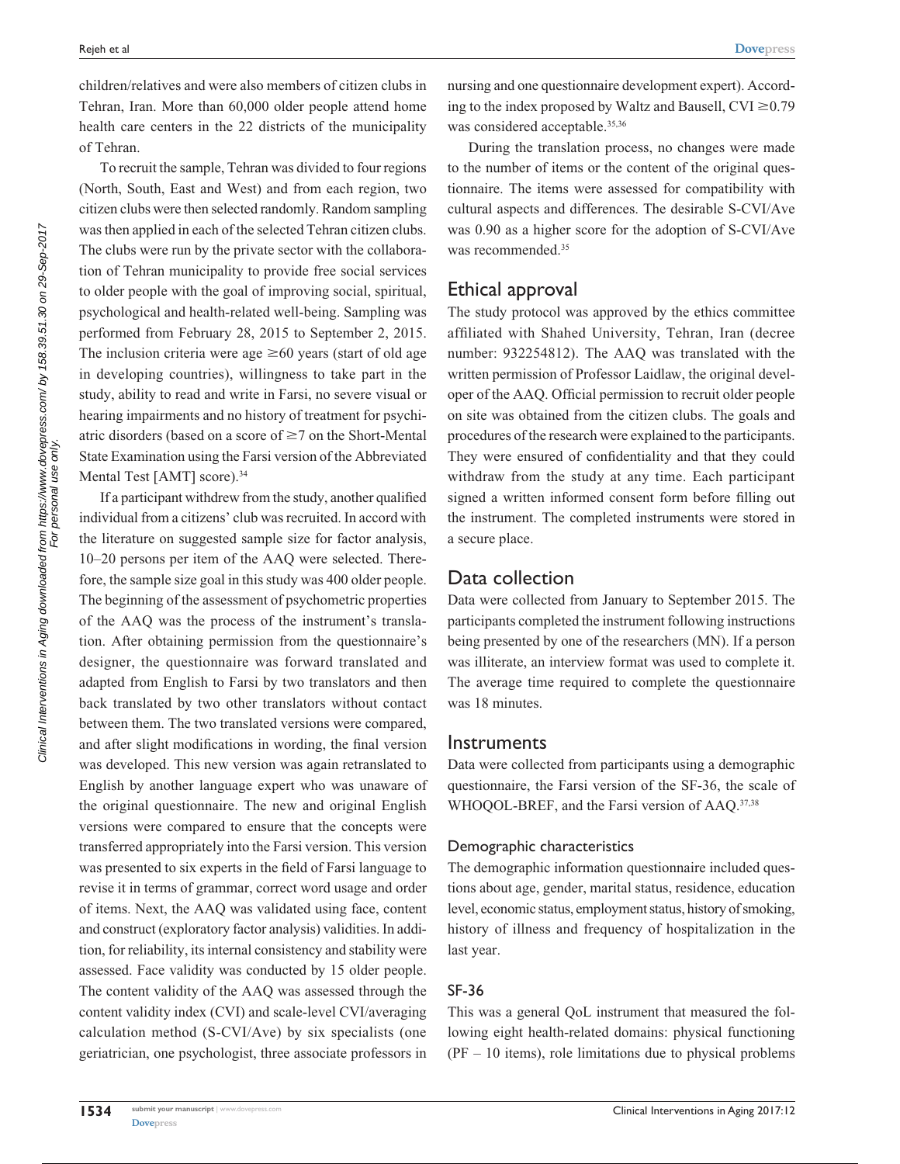children/relatives and were also members of citizen clubs in Tehran, Iran. More than 60,000 older people attend home health care centers in the 22 districts of the municipality of Tehran.

To recruit the sample, Tehran was divided to four regions (North, South, East and West) and from each region, two citizen clubs were then selected randomly. Random sampling was then applied in each of the selected Tehran citizen clubs. The clubs were run by the private sector with the collaboration of Tehran municipality to provide free social services to older people with the goal of improving social, spiritual, psychological and health-related well-being. Sampling was performed from February 28, 2015 to September 2, 2015. The inclusion criteria were age  $\geq 60$  years (start of old age in developing countries), willingness to take part in the study, ability to read and write in Farsi, no severe visual or hearing impairments and no history of treatment for psychiatric disorders (based on a score of  $\geq$  7 on the Short-Mental State Examination using the Farsi version of the Abbreviated Mental Test [AMT] score).<sup>34</sup>

If a participant withdrew from the study, another qualified individual from a citizens' club was recruited. In accord with the literature on suggested sample size for factor analysis, 10–20 persons per item of the AAQ were selected. Therefore, the sample size goal in this study was 400 older people. The beginning of the assessment of psychometric properties of the AAQ was the process of the instrument's translation. After obtaining permission from the questionnaire's designer, the questionnaire was forward translated and adapted from English to Farsi by two translators and then back translated by two other translators without contact between them. The two translated versions were compared, and after slight modifications in wording, the final version was developed. This new version was again retranslated to English by another language expert who was unaware of the original questionnaire. The new and original English versions were compared to ensure that the concepts were transferred appropriately into the Farsi version. This version was presented to six experts in the field of Farsi language to revise it in terms of grammar, correct word usage and order of items. Next, the AAQ was validated using face, content and construct (exploratory factor analysis) validities. In addition, for reliability, its internal consistency and stability were assessed. Face validity was conducted by 15 older people. The content validity of the AAQ was assessed through the content validity index (CVI) and scale-level CVI/averaging calculation method (S-CVI/Ave) by six specialists (one geriatrician, one psychologist, three associate professors in nursing and one questionnaire development expert). According to the index proposed by Waltz and Bausell,  $CVI \geq 0.79$ was considered acceptable.<sup>35,36</sup>

During the translation process, no changes were made to the number of items or the content of the original questionnaire. The items were assessed for compatibility with cultural aspects and differences. The desirable S-CVI/Ave was 0.90 as a higher score for the adoption of S-CVI/Ave was recommended.<sup>35</sup>

## Ethical approval

The study protocol was approved by the ethics committee affiliated with Shahed University, Tehran, Iran (decree number: 932254812). The AAQ was translated with the written permission of Professor Laidlaw, the original developer of the AAQ. Official permission to recruit older people on site was obtained from the citizen clubs. The goals and procedures of the research were explained to the participants. They were ensured of confidentiality and that they could withdraw from the study at any time. Each participant signed a written informed consent form before filling out the instrument. The completed instruments were stored in a secure place.

## Data collection

Data were collected from January to September 2015. The participants completed the instrument following instructions being presented by one of the researchers (MN). If a person was illiterate, an interview format was used to complete it. The average time required to complete the questionnaire was 18 minutes.

#### **Instruments**

Data were collected from participants using a demographic questionnaire, the Farsi version of the SF-36, the scale of WHOQOL-BREF, and the Farsi version of AAQ.37,38

#### Demographic characteristics

The demographic information questionnaire included questions about age, gender, marital status, residence, education level, economic status, employment status, history of smoking, history of illness and frequency of hospitalization in the last year.

#### SF-36

This was a general QoL instrument that measured the following eight health-related domains: physical functioning (PF – 10 items), role limitations due to physical problems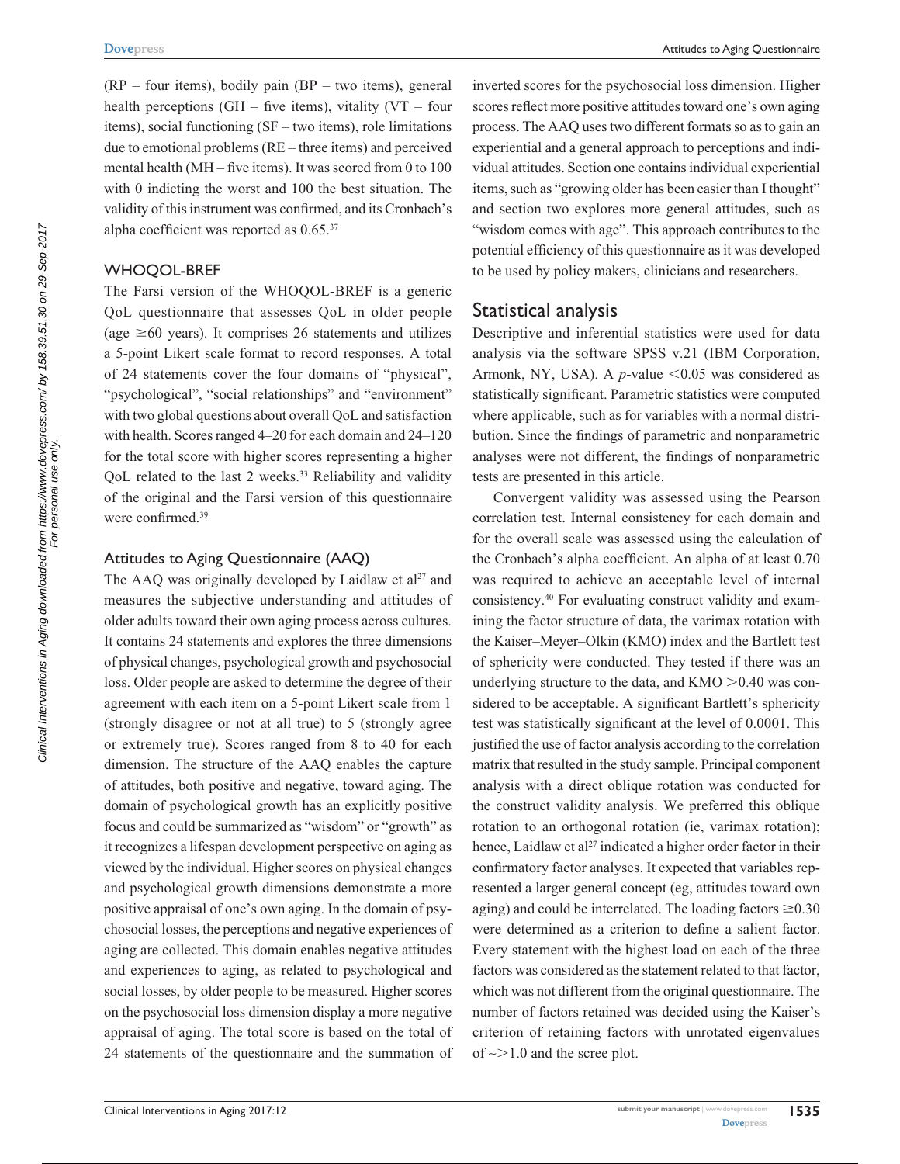$(RP - four items)$ , bodily pain  $(BP - two items)$ , general health perceptions (GH – five items), vitality ( $VT$  – four items), social functioning (SF – two items), role limitations due to emotional problems (RE – three items) and perceived mental health (MH – five items). It was scored from 0 to 100 with 0 indicting the worst and 100 the best situation. The validity of this instrument was confirmed, and its Cronbach's alpha coefficient was reported as 0.65.37

#### WHOQOL-BREF

The Farsi version of the WHOQOL-BREF is a generic QoL questionnaire that assesses QoL in older people (age  $\geq 60$  years). It comprises 26 statements and utilizes a 5-point Likert scale format to record responses. A total of 24 statements cover the four domains of "physical", "psychological", "social relationships" and "environment" with two global questions about overall QoL and satisfaction with health. Scores ranged 4–20 for each domain and 24–120 for the total score with higher scores representing a higher QoL related to the last 2 weeks.<sup>33</sup> Reliability and validity of the original and the Farsi version of this questionnaire were confirmed.<sup>39</sup>

#### Attitudes to Aging Questionnaire (AAQ)

The AAQ was originally developed by Laidlaw et  $al^{27}$  and measures the subjective understanding and attitudes of older adults toward their own aging process across cultures. It contains 24 statements and explores the three dimensions of physical changes, psychological growth and psychosocial loss. Older people are asked to determine the degree of their agreement with each item on a 5-point Likert scale from 1 (strongly disagree or not at all true) to 5 (strongly agree or extremely true). Scores ranged from 8 to 40 for each dimension. The structure of the AAQ enables the capture of attitudes, both positive and negative, toward aging. The domain of psychological growth has an explicitly positive focus and could be summarized as "wisdom" or "growth" as it recognizes a lifespan development perspective on aging as viewed by the individual. Higher scores on physical changes and psychological growth dimensions demonstrate a more positive appraisal of one's own aging. In the domain of psychosocial losses, the perceptions and negative experiences of aging are collected. This domain enables negative attitudes and experiences to aging, as related to psychological and social losses, by older people to be measured. Higher scores on the psychosocial loss dimension display a more negative appraisal of aging. The total score is based on the total of 24 statements of the questionnaire and the summation of inverted scores for the psychosocial loss dimension. Higher scores reflect more positive attitudes toward one's own aging process. The AAQ uses two different formats so as to gain an experiential and a general approach to perceptions and individual attitudes. Section one contains individual experiential items, such as "growing older has been easier than I thought" and section two explores more general attitudes, such as "wisdom comes with age". This approach contributes to the potential efficiency of this questionnaire as it was developed to be used by policy makers, clinicians and researchers.

#### Statistical analysis

Descriptive and inferential statistics were used for data analysis via the software SPSS v.21 (IBM Corporation, Armonk, NY, USA). A  $p$ -value < 0.05 was considered as statistically significant. Parametric statistics were computed where applicable, such as for variables with a normal distribution. Since the findings of parametric and nonparametric analyses were not different, the findings of nonparametric tests are presented in this article.

Convergent validity was assessed using the Pearson correlation test. Internal consistency for each domain and for the overall scale was assessed using the calculation of the Cronbach's alpha coefficient. An alpha of at least 0.70 was required to achieve an acceptable level of internal consistency.40 For evaluating construct validity and examining the factor structure of data, the varimax rotation with the Kaiser–Meyer–Olkin (KMO) index and the Bartlett test of sphericity were conducted. They tested if there was an underlying structure to the data, and  $KMO > 0.40$  was considered to be acceptable. A significant Bartlett's sphericity test was statistically significant at the level of 0.0001. This justified the use of factor analysis according to the correlation matrix that resulted in the study sample. Principal component analysis with a direct oblique rotation was conducted for the construct validity analysis. We preferred this oblique rotation to an orthogonal rotation (ie, varimax rotation); hence, Laidlaw et al<sup>27</sup> indicated a higher order factor in their confirmatory factor analyses. It expected that variables represented a larger general concept (eg, attitudes toward own aging) and could be interrelated. The loading factors  $\geq 0.30$ were determined as a criterion to define a salient factor. Every statement with the highest load on each of the three factors was considered as the statement related to that factor, which was not different from the original questionnaire. The number of factors retained was decided using the Kaiser's criterion of retaining factors with unrotated eigenvalues of  $\sim$  > 1.0 and the scree plot.

For personal use only.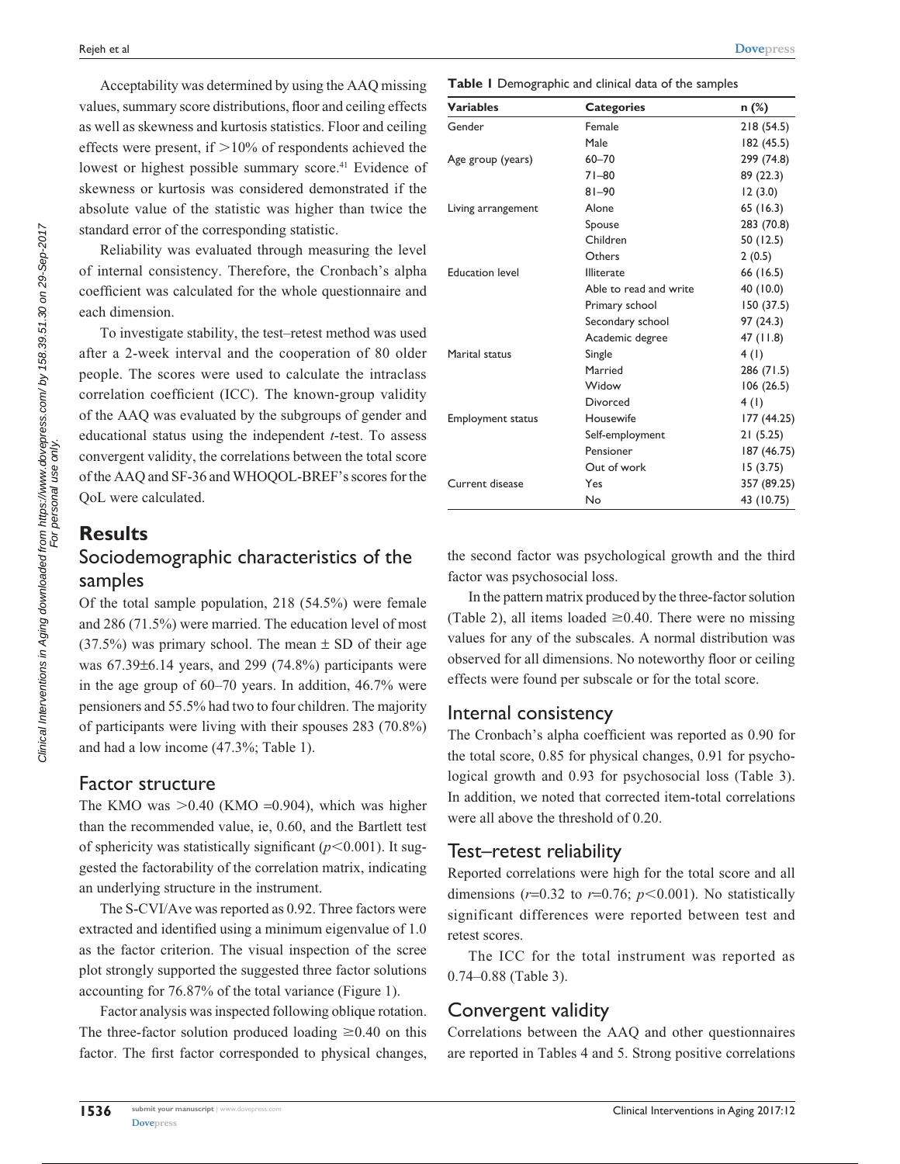Acceptability was determined by using the AAQ missing values, summary score distributions, floor and ceiling effects as well as skewness and kurtosis statistics. Floor and ceiling effects were present, if  $>10\%$  of respondents achieved the lowest or highest possible summary score.<sup>41</sup> Evidence of skewness or kurtosis was considered demonstrated if the absolute value of the statistic was higher than twice the standard error of the corresponding statistic.

Reliability was evaluated through measuring the level of internal consistency. Therefore, the Cronbach's alpha coefficient was calculated for the whole questionnaire and each dimension.

To investigate stability, the test–retest method was used after a 2-week interval and the cooperation of 80 older people. The scores were used to calculate the intraclass correlation coefficient (ICC). The known-group validity of the AAQ was evaluated by the subgroups of gender and educational status using the independent *t*-test. To assess convergent validity, the correlations between the total score of the AAQ and SF-36 and WHOQOL-BREF's scores for the QoL were calculated.

#### **Results**

# Sociodemographic characteristics of the samples

Of the total sample population, 218 (54.5%) were female and 286 (71.5%) were married. The education level of most  $(37.5\%)$  was primary school. The mean  $\pm$  SD of their age was 67.39±6.14 years, and 299 (74.8%) participants were in the age group of 60–70 years. In addition, 46.7% were pensioners and 55.5% had two to four children. The majority of participants were living with their spouses 283 (70.8%) and had a low income (47.3%; Table 1).

## Factor structure

The KMO was  $>0.40$  (KMO =0.904), which was higher than the recommended value, ie, 0.60, and the Bartlett test of sphericity was statistically significant  $(p<0.001)$ . It suggested the factorability of the correlation matrix, indicating an underlying structure in the instrument.

The S-CVI/Ave was reported as 0.92. Three factors were extracted and identified using a minimum eigenvalue of 1.0 as the factor criterion. The visual inspection of the scree plot strongly supported the suggested three factor solutions accounting for 76.87% of the total variance (Figure 1).

Factor analysis was inspected following oblique rotation. The three-factor solution produced loading  $\geq 0.40$  on this factor. The first factor corresponded to physical changes, **[Dovepress](www.dovepress.com)**

| Variables                | <b>Categories</b>      | n (%)       |
|--------------------------|------------------------|-------------|
| Gender                   | Female                 | 218 (54.5)  |
|                          | Male                   | 182 (45.5)  |
| Age group (years)        | $60 - 70$              | 299 (74.8)  |
|                          | $71 - 80$              | 89 (22.3)   |
|                          | $81 - 90$              | 12(3.0)     |
| Living arrangement       | Alone                  | 65 (16.3)   |
|                          | Spouse                 | 283 (70.8)  |
|                          | Children               | 50 (12.5)   |
|                          | Others                 | 2(0.5)      |
| <b>Education level</b>   | <b>Illiterate</b>      | 66 (16.5)   |
|                          | Able to read and write | 40 (10.0)   |
|                          | Primary school         | 150 (37.5)  |
|                          | Secondary school       | 97 (24.3)   |
|                          | Academic degree        | 47 (11.8)   |
| Marital status           | Single                 | 4(1)        |
|                          | Married                | 286 (71.5)  |
|                          | Widow                  | 106(26.5)   |
|                          | Divorced               | 4(1)        |
| <b>Employment status</b> | Housewife              | 177 (44.25) |
|                          | Self-employment        | 21(5.25)    |
|                          | Pensioner              | 187 (46.75) |
|                          | Out of work            | 15(3.75)    |
| Current disease          | Yes                    | 357 (89.25) |
|                          | No                     | 43 (10.75)  |

the second factor was psychological growth and the third factor was psychosocial loss.

In the pattern matrix produced by the three-factor solution (Table 2), all items loaded  $\geq$ 0.40. There were no missing values for any of the subscales. A normal distribution was observed for all dimensions. No noteworthy floor or ceiling effects were found per subscale or for the total score.

#### Internal consistency

The Cronbach's alpha coefficient was reported as 0.90 for the total score, 0.85 for physical changes, 0.91 for psychological growth and 0.93 for psychosocial loss (Table 3). In addition, we noted that corrected item-total correlations were all above the threshold of 0.20.

#### Test–retest reliability

Reported correlations were high for the total score and all dimensions ( $r=0.32$  to  $r=0.76$ ;  $p<0.001$ ). No statistically significant differences were reported between test and retest scores.

The ICC for the total instrument was reported as 0.74–0.88 (Table 3).

## Convergent validity

Correlations between the AAQ and other questionnaires are reported in Tables 4 and 5. Strong positive correlations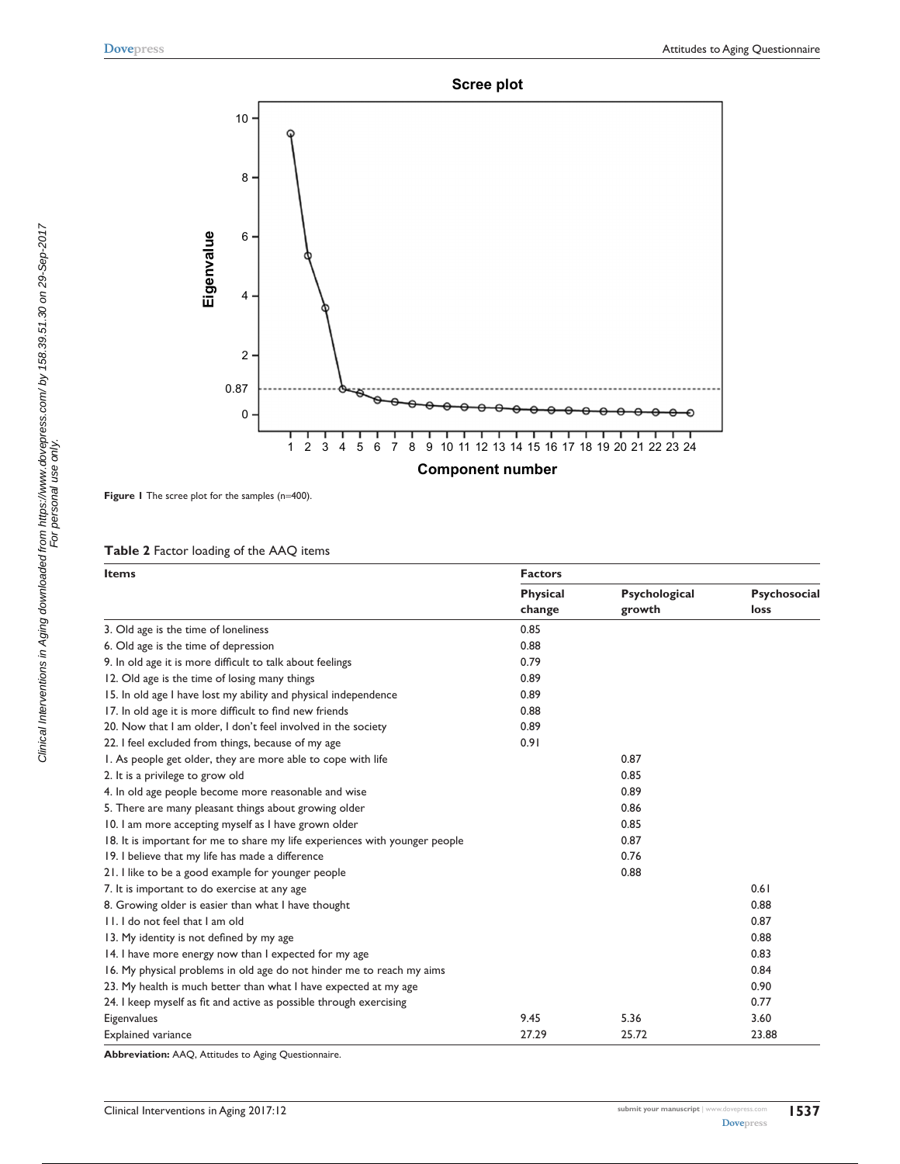

**Figure 1** The scree plot for the samples (n=400).

| <b>Items</b>                                                                | <b>Factors</b>  |               |              |
|-----------------------------------------------------------------------------|-----------------|---------------|--------------|
|                                                                             | <b>Physical</b> | Psychological | Psychosocial |
|                                                                             | change          | growth        | loss         |
| 3. Old age is the time of loneliness                                        | 0.85            |               |              |
| 6. Old age is the time of depression                                        | 0.88            |               |              |
| 9. In old age it is more difficult to talk about feelings                   | 0.79            |               |              |
| 12. Old age is the time of losing many things                               | 0.89            |               |              |
| 15. In old age I have lost my ability and physical independence             | 0.89            |               |              |
| 17. In old age it is more difficult to find new friends                     | 0.88            |               |              |
| 20. Now that I am older, I don't feel involved in the society               | 0.89            |               |              |
| 22. I feel excluded from things, because of my age                          | 0.91            |               |              |
| I. As people get older, they are more able to cope with life                |                 | 0.87          |              |
| 2. It is a privilege to grow old                                            |                 | 0.85          |              |
| 4. In old age people become more reasonable and wise                        |                 | 0.89          |              |
| 5. There are many pleasant things about growing older                       |                 | 0.86          |              |
| 10. I am more accepting myself as I have grown older                        |                 | 0.85          |              |
| 18. It is important for me to share my life experiences with younger people |                 | 0.87          |              |
| 19. I believe that my life has made a difference                            |                 | 0.76          |              |
| 21. I like to be a good example for younger people                          |                 | 0.88          |              |
| 7. It is important to do exercise at any age                                |                 |               | 0.61         |
| 8. Growing older is easier than what I have thought                         |                 |               | 0.88         |
| 11.1 do not feel that I am old                                              |                 |               | 0.87         |
| 13. My identity is not defined by my age                                    |                 |               | 0.88         |
| 14. I have more energy now than I expected for my age                       |                 |               | 0.83         |
| 16. My physical problems in old age do not hinder me to reach my aims       |                 |               | 0.84         |
| 23. My health is much better than what I have expected at my age            |                 |               | 0.90         |
| 24. I keep myself as fit and active as possible through exercising          |                 |               | 0.77         |
| Eigenvalues                                                                 | 9.45            | 5.36          | 3.60         |
| <b>Explained variance</b>                                                   | 27.29           | 25.72         | 23.88        |

**Abbreviation:** AAQ, Attitudes to Aging Questionnaire.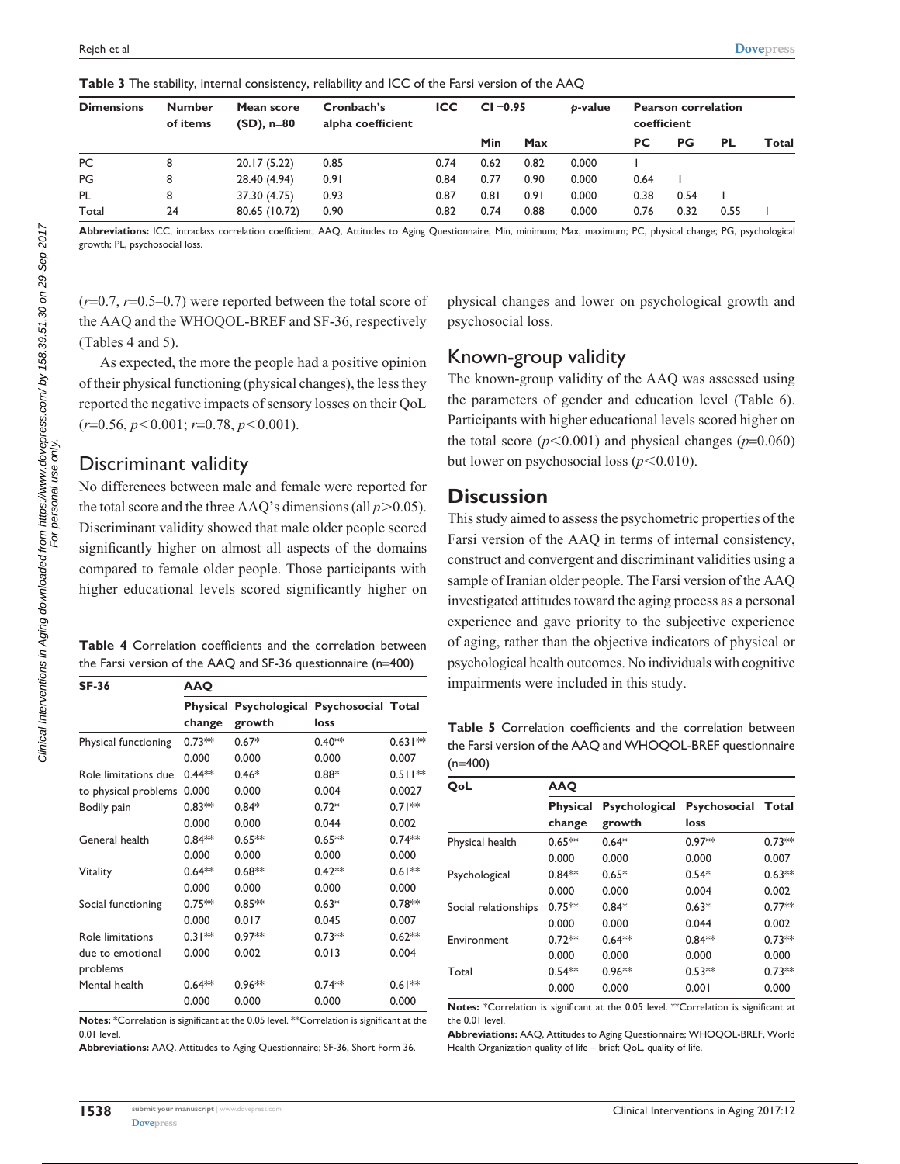| <b>Dimensions</b><br><b>Number</b><br>of items |    | Mean score<br>$(SD)$ , n=80 | Cronbach's<br>alpha coefficient | <b>ICC</b> | $CI = 0.95$ |      | b-value | <b>Pearson correlation</b><br>coefficient |           |              |  |
|------------------------------------------------|----|-----------------------------|---------------------------------|------------|-------------|------|---------|-------------------------------------------|-----------|--------------|--|
|                                                |    |                             |                                 | <b>Min</b> | Max         | PC.  |         | PG                                        | <b>PL</b> | <b>Total</b> |  |
| <b>PC</b>                                      | 8  | 20.17(5.22)                 | 0.85                            | 0.74       | 0.62        | 0.82 | 0.000   |                                           |           |              |  |
| PG                                             | 8  | 28.40 (4.94)                | 0.91                            | 0.84       | 0.77        | 0.90 | 0.000   | 0.64                                      |           |              |  |
| PL                                             | 8  | 37.30 (4.75)                | 0.93                            | 0.87       | 0.81        | 0.91 | 0.000   | 0.38                                      | 0.54      |              |  |
| Total                                          | 24 | 80.65 (10.72)               | 0.90                            | 0.82       | 0.74        | 0.88 | 0.000   | 0.76                                      | 0.32      | 0.55         |  |

**Table 3** The stability, internal consistency, reliability and ICC of the Farsi version of the AAQ

**Abbreviations:** ICC, intraclass correlation coefficient; AAQ, Attitudes to Aging Questionnaire; Min, minimum; Max, maximum; PC, physical change; PG, psychological growth; PL, psychosocial loss.

 $(r=0.7, r=0.5-0.7)$  were reported between the total score of the AAQ and the WHOQOL-BREF and SF-36, respectively (Tables 4 and 5).

physical changes and lower on psychological growth and psychosocial loss.

As expected, the more the people had a positive opinion of their physical functioning (physical changes), the less they reported the negative impacts of sensory losses on their QoL  $(r=0.56, p<0.001; r=0.78, p<0.001).$ 

## Discriminant validity

No differences between male and female were reported for the total score and the three AAQ's dimensions (all  $p > 0.05$ ). Discriminant validity showed that male older people scored significantly higher on almost all aspects of the domains compared to female older people. Those participants with higher educational levels scored significantly higher on

**Table 4** Correlation coefficients and the correlation between the Farsi version of the AAQ and SF-36 questionnaire (n=400)

| <b>AAQ</b> |                      |          |                                  |  |  |  |
|------------|----------------------|----------|----------------------------------|--|--|--|
|            |                      |          |                                  |  |  |  |
| change     | growth               | loss     |                                  |  |  |  |
| $0.73**$   | $0.67*$              | $0.40**$ | $0.631**$                        |  |  |  |
| 0.000      | 0.000                | 0.000    | 0.007                            |  |  |  |
| $0.44**$   | $0.46*$              | $0.88*$  | $0.511**$                        |  |  |  |
| 0.000      | 0.000                | 0.004    | 0.0027                           |  |  |  |
| $0.83**$   | $0.84*$              | $0.72*$  | $0.71**$                         |  |  |  |
| 0.000      | 0.000                | 0.044    | 0.002                            |  |  |  |
| $0.84**$   | $0.65**$             | $0.65**$ | $0.74**$                         |  |  |  |
| 0.000      | 0.000                | 0.000    | 0.000                            |  |  |  |
| $0.64**$   | $0.68**$             | $0.42**$ | $0.61**$                         |  |  |  |
| 0.000      | 0.000                | 0.000    | 0.000                            |  |  |  |
| $0.75***$  | $0.85**$             | $0.63*$  | $0.78**$                         |  |  |  |
| 0.000      | 0.017                | 0.045    | 0.007                            |  |  |  |
| $0.31**$   | $0.97**$             | $0.73**$ | $0.62**$                         |  |  |  |
| 0.000      | 0.002                | 0.013    | 0.004                            |  |  |  |
|            |                      |          |                                  |  |  |  |
| $0.64**$   | $0.96**$             | $0.74**$ | $0.61**$                         |  |  |  |
| 0.000      | 0.000                | 0.000    | 0.000                            |  |  |  |
|            | to physical problems | Physical | Psychological Psychosocial Total |  |  |  |

**Notes:** \*Correlation is significant at the 0.05 level. \*\*Correlation is significant at the 0.01 level.

**Abbreviations:** AAQ, Attitudes to Aging Questionnaire; SF-36, Short Form 36.

## Known-group validity

The known-group validity of the AAQ was assessed using the parameters of gender and education level (Table 6). Participants with higher educational levels scored higher on the total score  $(p<0.001)$  and physical changes  $(p=0.060)$ but lower on psychosocial loss  $(p<0.010)$ .

## **Discussion**

This study aimed to assess the psychometric properties of the Farsi version of the AAQ in terms of internal consistency, construct and convergent and discriminant validities using a sample of Iranian older people. The Farsi version of the AAQ investigated attitudes toward the aging process as a personal experience and gave priority to the subjective experience of aging, rather than the objective indicators of physical or psychological health outcomes. No individuals with cognitive impairments were included in this study.

**Table 5** Correlation coefficients and the correlation between the Farsi version of the AAQ and WHOQOL-BREF questionnaire  $(n=400)$ 

| QoL                  | <b>AAQ</b>                |                                |                                   |          |  |  |  |
|----------------------|---------------------------|--------------------------------|-----------------------------------|----------|--|--|--|
|                      | <b>Physical</b><br>change | <b>Psychological</b><br>growth | <b>Psychosocial Total</b><br>loss |          |  |  |  |
| Physical health      | $0.65**$                  | $0.64*$                        | $0.97**$                          | $0.73**$ |  |  |  |
|                      | 0.000                     | 0.000                          | 0.000                             | 0.007    |  |  |  |
| Psychological        | $0.84**$                  | $0.65*$                        | $0.54*$                           | $0.63**$ |  |  |  |
|                      | 0.000                     | 0.000                          | 0.004                             | 0.002    |  |  |  |
| Social relationships | $0.75**$                  | $0.84*$                        | $0.63*$                           | $0.77**$ |  |  |  |
|                      | 0.000                     | 0.000                          | 0.044                             | 0.002    |  |  |  |
| Environment          | $0.72**$                  | $0.64**$                       | $0.84**$                          | $0.73**$ |  |  |  |
|                      | 0.000                     | 0.000                          | 0.000                             | 0.000    |  |  |  |
| Total                | $0.54**$                  | $0.96**$                       | $0.53**$                          | $0.73**$ |  |  |  |
|                      | 0.000                     | 0.000                          | 0.001                             | 0.000    |  |  |  |

**Notes:** \*Correlation is significant at the 0.05 level. \*\*Correlation is significant at the 0.01 level.

**Abbreviations:** AAQ, Attitudes to Aging Questionnaire; WHOQOL-BREF, World Health Organization quality of life – brief; QoL, quality of life.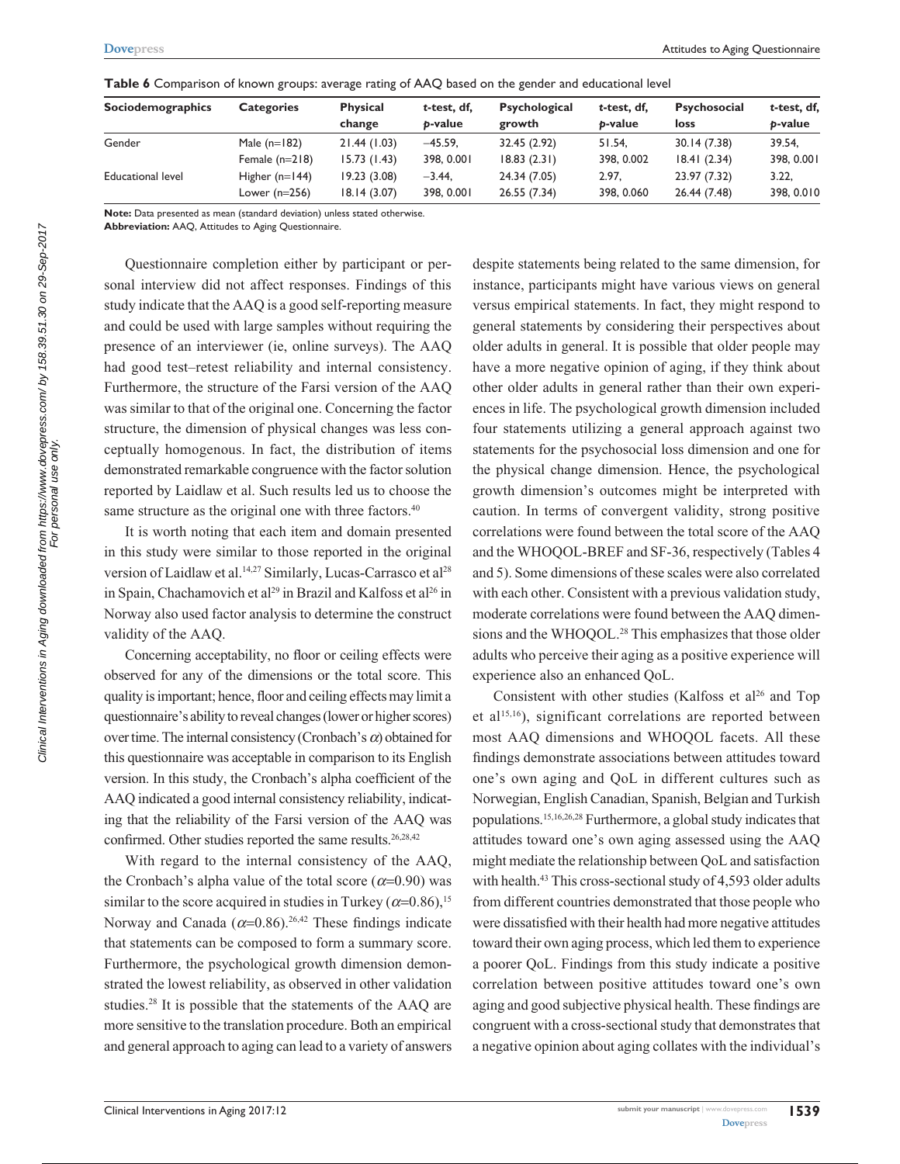| <b>Sociodemographics</b> | <b>Categories</b> | <b>Physical</b><br>change | t-test, df,<br>b-value | Psychological<br>growth | t-test, df,<br>b-value | Psychosocial<br>loss | t-test, df,<br>p-value |
|--------------------------|-------------------|---------------------------|------------------------|-------------------------|------------------------|----------------------|------------------------|
| Gender                   | Male $(n=182)$    | 21.44(1.03)               | $-45.59.$              | 32.45 (2.92)            | 51.54                  | 30.14 (7.38)         | 39.54.                 |
|                          | Female $(n=218)$  | 15.73(1.43)               | 398, 0.001             | 18.83(2.31)             | 398, 0.002             | 18.41(2.34)          | 398, 0.001             |
| <b>Educational level</b> | Higher $(n=144)$  | 19.23(3.08)               | $-3.44.$               | 24.34 (7.05)            | 2.97.                  | 23.97 (7.32)         | 3.22.                  |
|                          | Lower $(n=256)$   | 18.14(3.07)               | 398, 0.001             | 26.55 (7.34)            | 398, 0.060             | 26.44 (7.48)         | 398, 0.010             |

**Table 6** Comparison of known groups: average rating of AAQ based on the gender and educational level

**Note:** Data presented as mean (standard deviation) unless stated otherwise.

**Abbreviation:** AAQ, Attitudes to Aging Questionnaire.

Questionnaire completion either by participant or personal interview did not affect responses. Findings of this study indicate that the AAQ is a good self-reporting measure and could be used with large samples without requiring the presence of an interviewer (ie, online surveys). The AAQ had good test–retest reliability and internal consistency. Furthermore, the structure of the Farsi version of the AAQ was similar to that of the original one. Concerning the factor structure, the dimension of physical changes was less conceptually homogenous. In fact, the distribution of items demonstrated remarkable congruence with the factor solution reported by Laidlaw et al. Such results led us to choose the same structure as the original one with three factors.<sup>40</sup> It is worth noting that each item and domain presented

in this study were similar to those reported in the original version of Laidlaw et al.<sup>14,27</sup> Similarly, Lucas-Carrasco et al<sup>28</sup> in Spain, Chachamovich et al<sup>29</sup> in Brazil and Kalfoss et al<sup>26</sup> in Norway also used factor analysis to determine the construct validity of the AAQ.

Concerning acceptability, no floor or ceiling effects were observed for any of the dimensions or the total score. This quality is important; hence, floor and ceiling effects may limit a questionnaire's ability to reveal changes (lower or higher scores) over time. The internal consistency (Cronbach's *α*) obtained for this questionnaire was acceptable in comparison to its English version. In this study, the Cronbach's alpha coefficient of the AAQ indicated a good internal consistency reliability, indicating that the reliability of the Farsi version of the AAQ was confirmed. Other studies reported the same results.<sup>26,28,42</sup>

With regard to the internal consistency of the AAQ, the Cronbach's alpha value of the total score  $(\alpha=0.90)$  was similar to the score acquired in studies in Turkey ( $\alpha$ =0.86),<sup>15</sup> Norway and Canada ( $\alpha$ =0.86).<sup>26,42</sup> These findings indicate that statements can be composed to form a summary score. Furthermore, the psychological growth dimension demonstrated the lowest reliability, as observed in other validation studies.28 It is possible that the statements of the AAQ are more sensitive to the translation procedure. Both an empirical and general approach to aging can lead to a variety of answers despite statements being related to the same dimension, for instance, participants might have various views on general versus empirical statements. In fact, they might respond to general statements by considering their perspectives about older adults in general. It is possible that older people may have a more negative opinion of aging, if they think about other older adults in general rather than their own experiences in life. The psychological growth dimension included four statements utilizing a general approach against two statements for the psychosocial loss dimension and one for the physical change dimension. Hence, the psychological growth dimension's outcomes might be interpreted with caution. In terms of convergent validity, strong positive correlations were found between the total score of the AAQ and the WHOQOL-BREF and SF-36, respectively (Tables 4 and 5). Some dimensions of these scales were also correlated with each other. Consistent with a previous validation study, moderate correlations were found between the AAQ dimensions and the WHOQOL.<sup>28</sup> This emphasizes that those older adults who perceive their aging as a positive experience will experience also an enhanced QoL.

Consistent with other studies (Kalfoss et  $a^{126}$  and Top et al<sup>15,16</sup>), significant correlations are reported between most AAQ dimensions and WHOQOL facets. All these findings demonstrate associations between attitudes toward one's own aging and QoL in different cultures such as Norwegian, English Canadian, Spanish, Belgian and Turkish populations.15,16,26,28 Furthermore, a global study indicates that attitudes toward one's own aging assessed using the AAQ might mediate the relationship between QoL and satisfaction with health.<sup>43</sup> This cross-sectional study of 4,593 older adults from different countries demonstrated that those people who were dissatisfied with their health had more negative attitudes toward their own aging process, which led them to experience a poorer QoL. Findings from this study indicate a positive correlation between positive attitudes toward one's own aging and good subjective physical health. These findings are congruent with a cross-sectional study that demonstrates that a negative opinion about aging collates with the individual's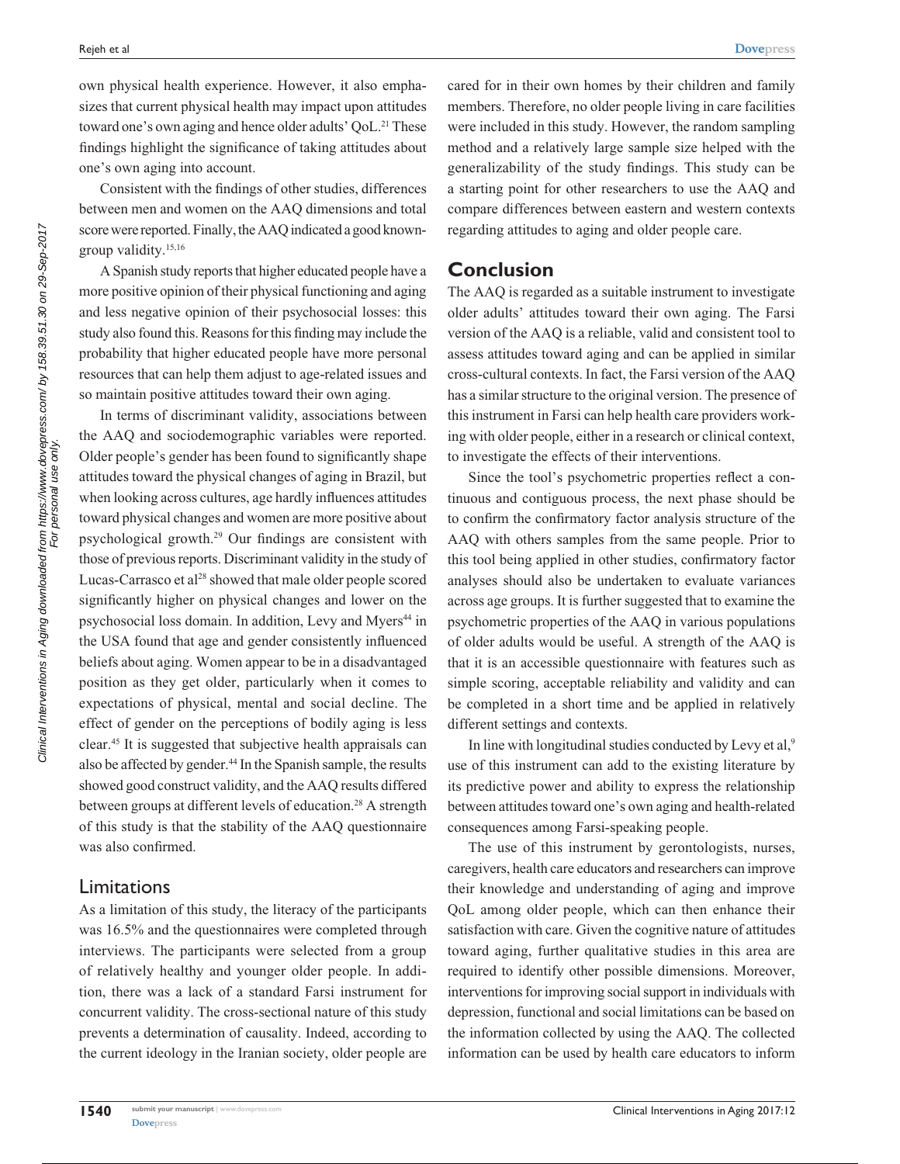own physical health experience. However, it also emphasizes that current physical health may impact upon attitudes toward one's own aging and hence older adults' QoL.<sup>21</sup> These findings highlight the significance of taking attitudes about one's own aging into account.

Consistent with the findings of other studies, differences between men and women on the AAQ dimensions and total score were reported. Finally, the AAQ indicated a good knowngroup validity.15,16

A Spanish study reports that higher educated people have a more positive opinion of their physical functioning and aging and less negative opinion of their psychosocial losses: this study also found this. Reasons for this finding may include the probability that higher educated people have more personal resources that can help them adjust to age-related issues and so maintain positive attitudes toward their own aging.

In terms of discriminant validity, associations between the AAQ and sociodemographic variables were reported. Older people's gender has been found to significantly shape attitudes toward the physical changes of aging in Brazil, but when looking across cultures, age hardly influences attitudes toward physical changes and women are more positive about psychological growth.29 Our findings are consistent with those of previous reports. Discriminant validity in the study of Lucas-Carrasco et al<sup>28</sup> showed that male older people scored significantly higher on physical changes and lower on the psychosocial loss domain. In addition, Levy and Myers<sup>44</sup> in the USA found that age and gender consistently influenced beliefs about aging. Women appear to be in a disadvantaged position as they get older, particularly when it comes to expectations of physical, mental and social decline. The effect of gender on the perceptions of bodily aging is less clear.45 It is suggested that subjective health appraisals can also be affected by gender.<sup>44</sup> In the Spanish sample, the results showed good construct validity, and the AAQ results differed between groups at different levels of education.<sup>28</sup> A strength of this study is that the stability of the AAQ questionnaire was also confirmed.

## Limitations

As a limitation of this study, the literacy of the participants was 16.5% and the questionnaires were completed through interviews. The participants were selected from a group of relatively healthy and younger older people. In addition, there was a lack of a standard Farsi instrument for concurrent validity. The cross-sectional nature of this study prevents a determination of causality. Indeed, according to the current ideology in the Iranian society, older people are

cared for in their own homes by their children and family members. Therefore, no older people living in care facilities were included in this study. However, the random sampling method and a relatively large sample size helped with the generalizability of the study findings. This study can be a starting point for other researchers to use the AAQ and compare differences between eastern and western contexts regarding attitudes to aging and older people care.

# **Conclusion**

The AAQ is regarded as a suitable instrument to investigate older adults' attitudes toward their own aging. The Farsi version of the AAQ is a reliable, valid and consistent tool to assess attitudes toward aging and can be applied in similar cross-cultural contexts. In fact, the Farsi version of the AAQ has a similar structure to the original version. The presence of this instrument in Farsi can help health care providers working with older people, either in a research or clinical context, to investigate the effects of their interventions.

Since the tool's psychometric properties reflect a continuous and contiguous process, the next phase should be to confirm the confirmatory factor analysis structure of the AAQ with others samples from the same people. Prior to this tool being applied in other studies, confirmatory factor analyses should also be undertaken to evaluate variances across age groups. It is further suggested that to examine the psychometric properties of the AAQ in various populations of older adults would be useful. A strength of the AAQ is that it is an accessible questionnaire with features such as simple scoring, acceptable reliability and validity and can be completed in a short time and be applied in relatively different settings and contexts.

In line with longitudinal studies conducted by Levy et al,<sup>9</sup> use of this instrument can add to the existing literature by its predictive power and ability to express the relationship between attitudes toward one's own aging and health-related consequences among Farsi-speaking people.

The use of this instrument by gerontologists, nurses, caregivers, health care educators and researchers can improve their knowledge and understanding of aging and improve QoL among older people, which can then enhance their satisfaction with care. Given the cognitive nature of attitudes toward aging, further qualitative studies in this area are required to identify other possible dimensions. Moreover, interventions for improving social support in individuals with depression, functional and social limitations can be based on the information collected by using the AAQ. The collected information can be used by health care educators to inform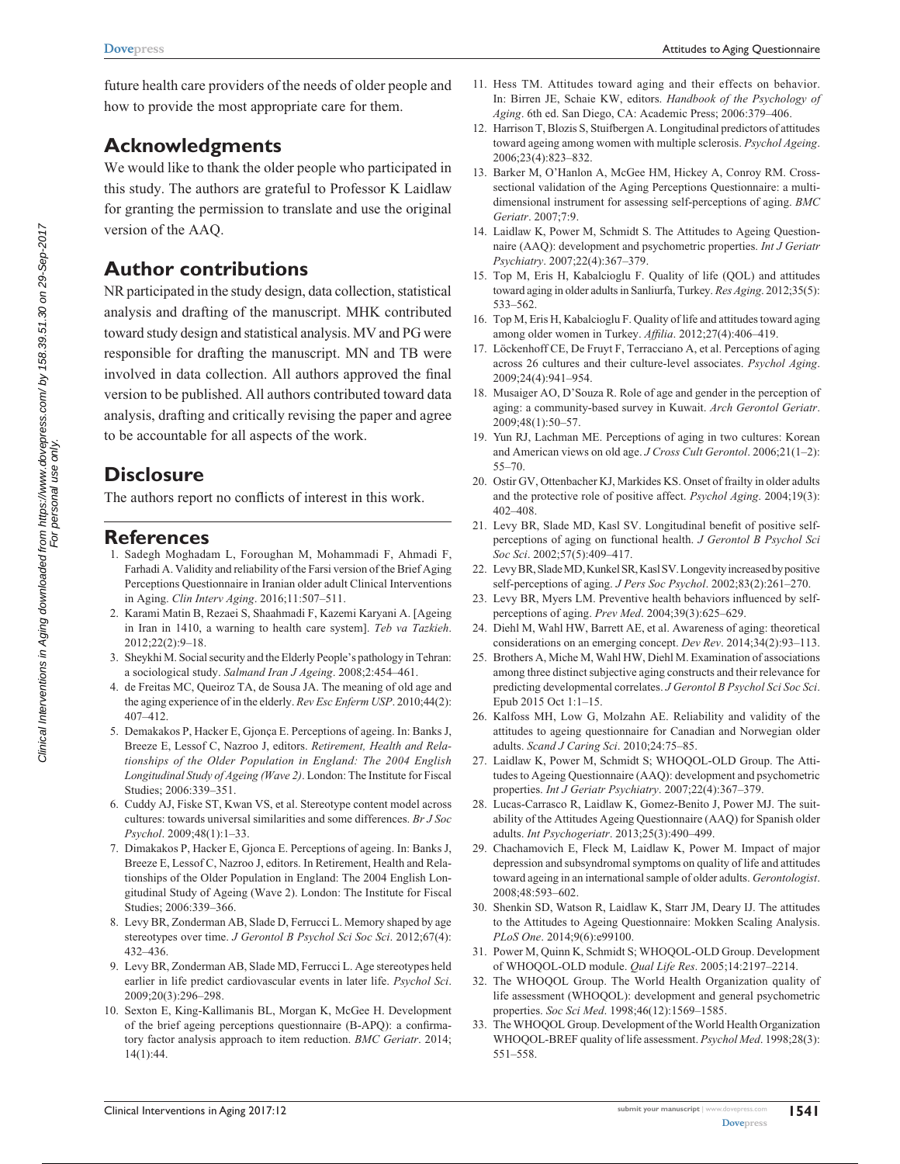future health care providers of the needs of older people and how to provide the most appropriate care for them.

# **Acknowledgments**

We would like to thank the older people who participated in this study. The authors are grateful to Professor K Laidlaw for granting the permission to translate and use the original version of the AAQ.

## **Author contributions**

NR participated in the study design, data collection, statistical analysis and drafting of the manuscript. MHK contributed toward study design and statistical analysis. MV and PG were responsible for drafting the manuscript. MN and TB were involved in data collection. All authors approved the final version to be published. All authors contributed toward data analysis, drafting and critically revising the paper and agree to be accountable for all aspects of the work.

## **Disclosure**

The authors report no conflicts of interest in this work.

#### **References**

- 1. Sadegh Moghadam L, Foroughan M, Mohammadi F, Ahmadi F, Farhadi A. Validity and reliability of the Farsi version of the Brief Aging Perceptions Questionnaire in Iranian older adult Clinical Interventions in Aging. *Clin Interv Aging*. 2016;11:507–511.
- 2. Karami Matin B, Rezaei S, Shaahmadi F, Kazemi Karyani A. [Ageing in Iran in 1410, a warning to health care system]. *Teb va Tazkieh*. 2012;22(2):9–18.
- 3. Sheykhi M. Social security and the Elderly People's pathology in Tehran: a sociological study. *Salmand Iran J Ageing*. 2008;2:454–461.
- 4. de Freitas MC, Queiroz TA, de Sousa JA. The meaning of old age and the aging experience of in the elderly. *Rev Esc Enferm USP*. 2010;44(2): 407–412.
- 5. Demakakos P, Hacker E, Gjonça E. Perceptions of ageing. In: Banks J, Breeze E, Lessof C, Nazroo J, editors. *Retirement, Health and Relationships of the Older Population in England: The 2004 English Longitudinal Study of Ageing (Wave 2)*. London: The Institute for Fiscal Studies; 2006:339–351.
- 6. Cuddy AJ, Fiske ST, Kwan VS, et al. Stereotype content model across cultures: towards universal similarities and some differences. *Br J Soc Psychol*. 2009;48(1):1–33.
- 7. Dimakakos P, Hacker E, Gjonca E. Perceptions of ageing. In: Banks J, Breeze E, Lessof C, Nazroo J, editors. In Retirement, Health and Relationships of the Older Population in England: The 2004 English Longitudinal Study of Ageing (Wave 2). London: The Institute for Fiscal Studies; 2006:339–366.
- 8. Levy BR, Zonderman AB, Slade D, Ferrucci L. Memory shaped by age stereotypes over time. *J Gerontol B Psychol Sci Soc Sci*. 2012;67(4): 432–436.
- 9. Levy BR, Zonderman AB, Slade MD, Ferrucci L. Age stereotypes held earlier in life predict cardiovascular events in later life. *Psychol Sci*. 2009;20(3):296–298.
- 10. Sexton E, King-Kallimanis BL, Morgan K, McGee H. Development of the brief ageing perceptions questionnaire (B-APQ): a confirmatory factor analysis approach to item reduction. *BMC Geriatr*. 2014; 14(1):44.
- 11. Hess TM. Attitudes toward aging and their effects on behavior. In: Birren JE, Schaie KW, editors. *Handbook of the Psychology of Aging*. 6th ed. San Diego, CA: Academic Press; 2006:379–406.
- 12. Harrison T, Blozis S, Stuifbergen A. Longitudinal predictors of attitudes toward ageing among women with multiple sclerosis. *Psychol Ageing*. 2006;23(4):823–832.
- 13. Barker M, O'Hanlon A, McGee HM, Hickey A, Conroy RM. Crosssectional validation of the Aging Perceptions Questionnaire: a multidimensional instrument for assessing self-perceptions of aging. *BMC Geriatr*. 2007;7:9.
- 14. Laidlaw K, Power M, Schmidt S. The Attitudes to Ageing Questionnaire (AAQ): development and psychometric properties. *Int J Geriatr Psychiatry*. 2007;22(4):367–379.
- 15. Top M, Eris H, Kabalcioglu F. Quality of life (QOL) and attitudes toward aging in older adults in Sanliurfa, Turkey. *Res Aging*. 2012;35(5): 533–562.
- 16. Top M, Eris H, Kabalcioglu F. Quality of life and attitudes toward aging among older women in Turkey. *Affilia*. 2012;27(4):406–419.
- 17. Löckenhoff CE, De Fruyt F, Terracciano A, et al. Perceptions of aging across 26 cultures and their culture-level associates. *Psychol Aging*. 2009;24(4):941–954.
- 18. Musaiger AO, D'Souza R. Role of age and gender in the perception of aging: a community-based survey in Kuwait. *Arch Gerontol Geriatr*. 2009;48(1):50–57.
- 19. Yun RJ, Lachman ME. Perceptions of aging in two cultures: Korean and American views on old age. *J Cross Cult Gerontol*. 2006;21(1–2): 55–70.
- 20. Ostir GV, Ottenbacher KJ, Markides KS. Onset of frailty in older adults and the protective role of positive affect. *Psychol Aging*. 2004;19(3): 402–408.
- 21. Levy BR, Slade MD, Kasl SV. Longitudinal benefit of positive selfperceptions of aging on functional health. *J Gerontol B Psychol Sci Soc Sci*. 2002;57(5):409–417.
- 22. Levy BR, Slade MD, Kunkel SR, Kasl SV. Longevity increased by positive self-perceptions of aging. *J Pers Soc Psychol*. 2002;83(2):261–270.
- 23. Levy BR, Myers LM. Preventive health behaviors influenced by selfperceptions of aging. *Prev Med*. 2004;39(3):625–629.
- 24. Diehl M, Wahl HW, Barrett AE, et al. Awareness of aging: theoretical considerations on an emerging concept. *Dev Rev*. 2014;34(2):93–113.
- 25. Brothers A, Miche M, Wahl HW, Diehl M. Examination of associations among three distinct subjective aging constructs and their relevance for predicting developmental correlates. *J Gerontol B Psychol Sci Soc Sci*. Epub 2015 Oct 1:1–15.
- 26. Kalfoss MH, Low G, Molzahn AE. Reliability and validity of the attitudes to ageing questionnaire for Canadian and Norwegian older adults. *Scand J Caring Sci*. 2010;24:75–85.
- 27. Laidlaw K, Power M, Schmidt S; WHOQOL-OLD Group. The Attitudes to Ageing Questionnaire (AAQ): development and psychometric properties. *Int J Geriatr Psychiatry*. 2007;22(4):367–379.
- 28. Lucas-Carrasco R, Laidlaw K, Gomez-Benito J, Power MJ. The suitability of the Attitudes Ageing Questionnaire (AAQ) for Spanish older adults. *Int Psychogeriatr*. 2013;25(3):490–499.
- 29. Chachamovich E, Fleck M, Laidlaw K, Power M. Impact of major depression and subsyndromal symptoms on quality of life and attitudes toward ageing in an international sample of older adults. *Gerontologist*. 2008;48:593–602.
- 30. Shenkin SD, Watson R, Laidlaw K, Starr JM, Deary IJ. The attitudes to the Attitudes to Ageing Questionnaire: Mokken Scaling Analysis. *PLoS One*. 2014;9(6):e99100.
- 31. Power M, Quinn K, Schmidt S; WHOQOL-OLD Group. Development of WHOQOL-OLD module. *Qual Life Res*. 2005;14:2197–2214.
- 32. The WHOQOL Group. The World Health Organization quality of life assessment (WHOQOL): development and general psychometric properties. *Soc Sci Med*. 1998;46(12):1569–1585.
- 33. The WHOQOL Group. Development of the World Health Organization WHOQOL-BREF quality of life assessment. *Psychol Med*. 1998;28(3): 551–558.